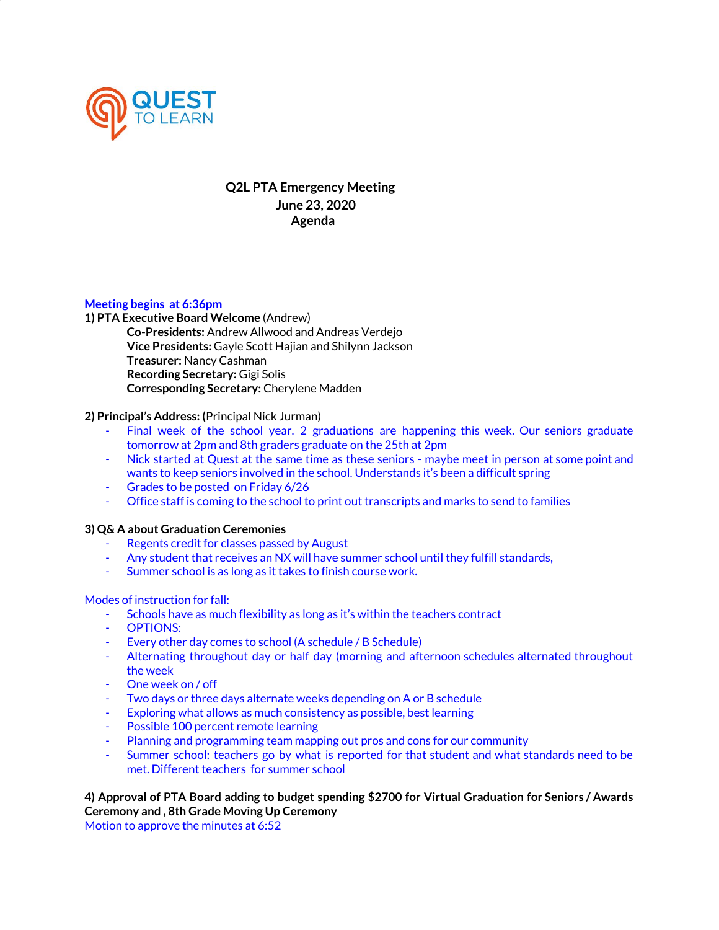

# **Q2L PTA Emergency Meeting June 23, 2020 Agenda**

### **Meeting begins at 6:36pm**

**1) PTA Executive Board Welcome** (Andrew) **Co-Presidents:** Andrew Allwood and Andreas Verdejo **Vice Presidents:** Gayle Scott Hajian and Shilynn Jackson **Treasurer:** Nancy Cashman **Recording Secretary:** Gigi Solis **Corresponding Secretary:** Cherylene Madden

### **2) Principal's Address: (**Principal Nick Jurman)

- Final week of the school year. 2 graduations are happening this week. Our seniors graduate tomorrow at 2pm and 8th graders graduate on the 25th at 2pm
- Nick started at Quest at the same time as these seniors maybe meet in person at some point and wants to keep seniors involved in the school. Understands it's been a difficult spring
- Grades to be posted on Friday 6/26
- Office staff is coming to the school to print out transcripts and marks to send to families

## **3) Q& A about Graduation Ceremonies**

- Regents credit for classes passed by August
- Any student that receives an NX will have summer school until they fulfill standards,
- Summer school is as long as it takes to finish course work.

#### Modes of instruction for fall:

- Schools have as much flexibility as long as it's within the teachers contract
- OPTIONS:
- Every other day comes to school (A schedule / B Schedule)
- Alternating throughout day or half day (morning and afternoon schedules alternated throughout the week
- One week on / off
- Two days or three days alternate weeks depending on A or B schedule
- Exploring what allows as much consistency as possible, best learning
- Possible 100 percent remote learning
- Planning and programming team mapping out pros and cons for our community
- Summer school: teachers go by what is reported for that student and what standards need to be met. Different teachers for summer school

# **4) Approval of PTA Board adding to budget spending \$2700 for Virtual Graduation for Seniors / Awards Ceremony and , 8th Grade Moving Up Ceremony**

Motion to approve the minutes at 6:52